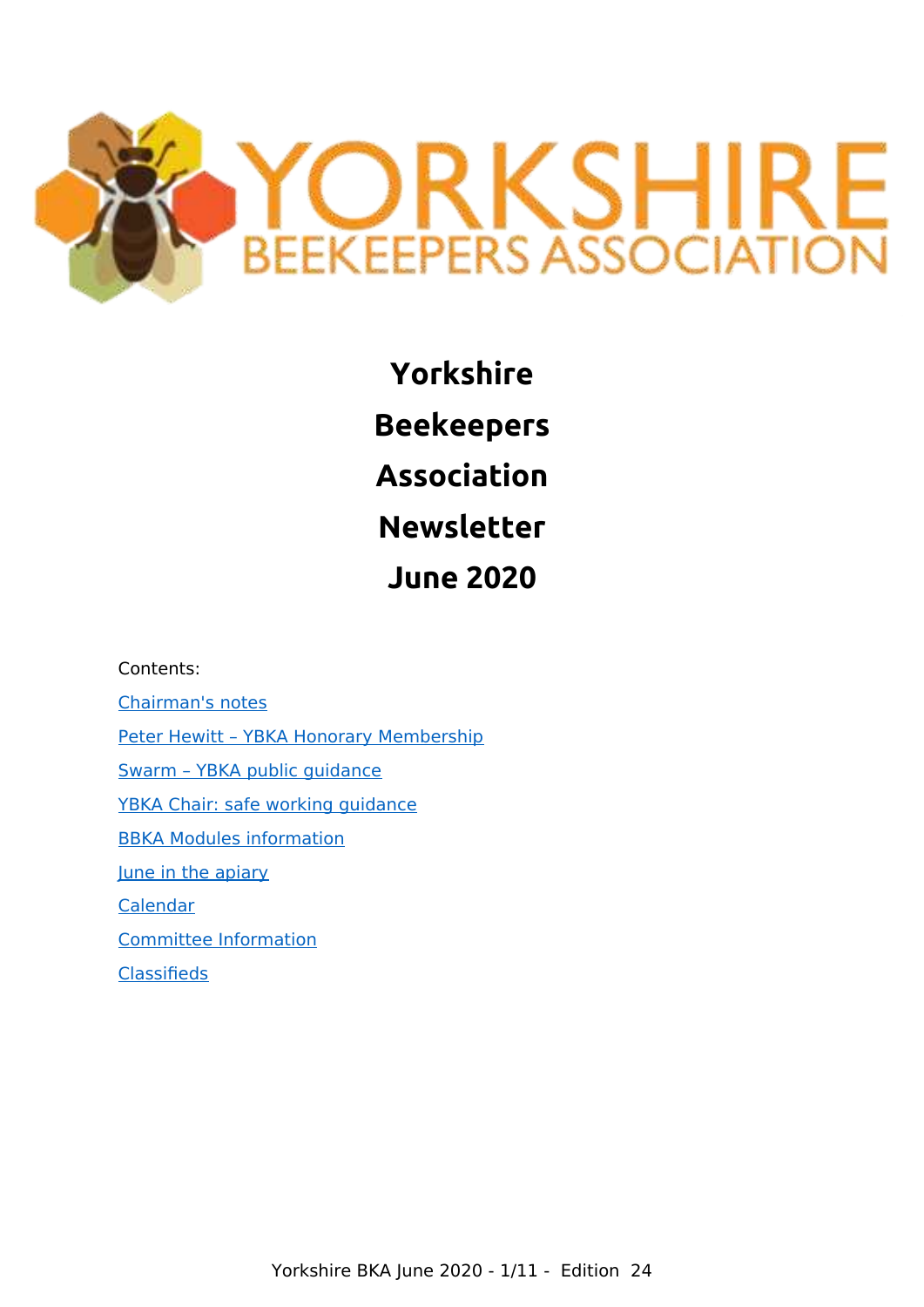

**Yorkshire Beekeepers Association Newsletter June 2020**

Contents: [Chairman's notes](#page-1-0) [Peter Hewitt – YBKA Honorary Membership](#page-2-2) [Swarm – YBKA public guidance](#page-2-1) [YBKA Chair: safe working guidance](#page-2-0) [BBKA Modules information](#page-3-0) [June in the apiary](#page-4-0) [Calendar](#page-6-2) [Committee Information](#page-6-1) [Classifieds](#page-6-0)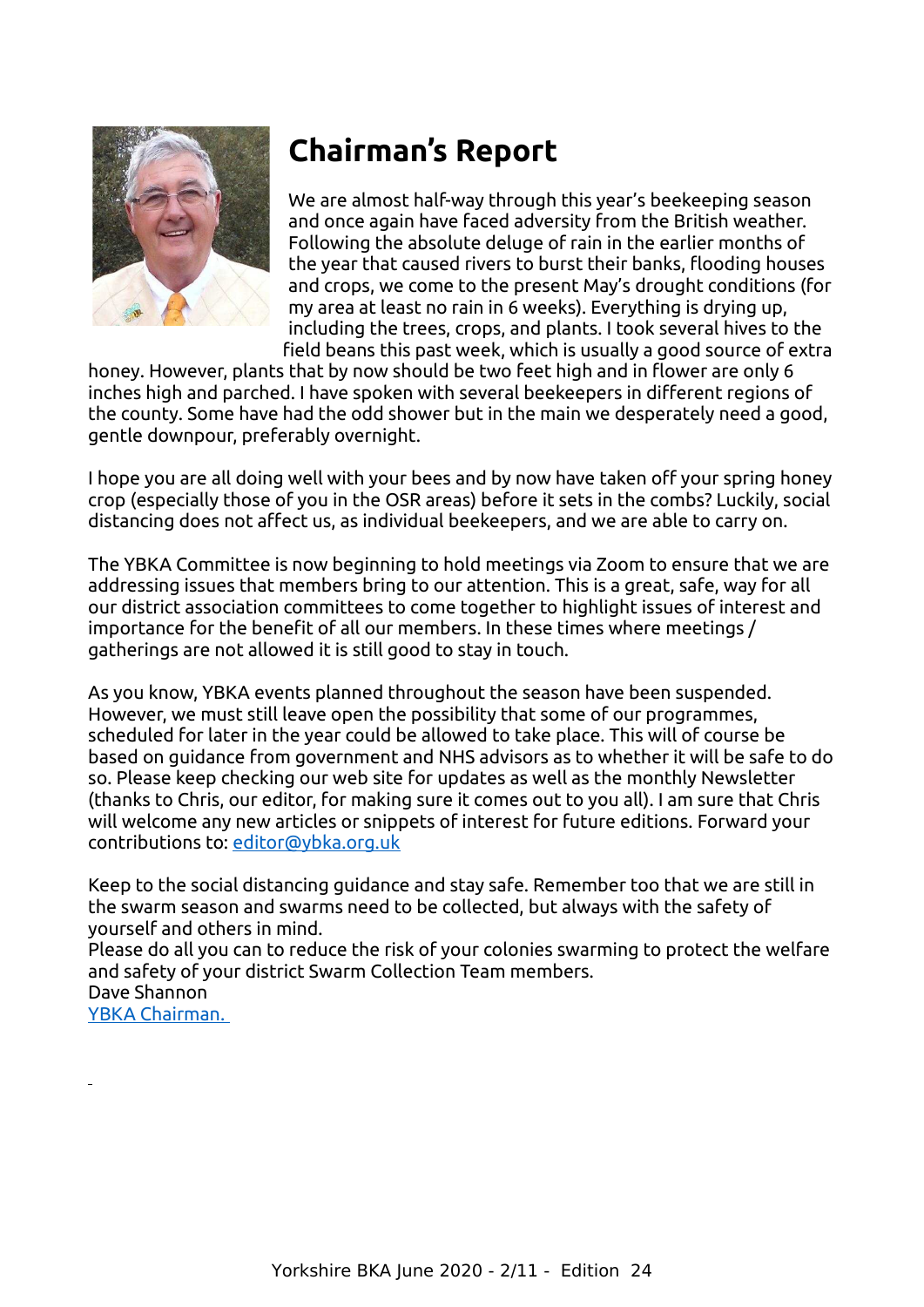

## **Chairman's Report**

We are almost half-way through this year's beekeeping season and once again have faced adversity from the British weather. Following the absolute deluge of rain in the earlier months of the year that caused rivers to burst their banks, flooding houses and crops, we come to the present May's drought conditions (for my area at least no rain in 6 weeks). Everything is drying up, including the trees, crops, and plants. I took several hives to the field beans this past week, which is usually a good source of extra

honey. However, plants that by now should be two feet high and in flower are only 6 inches high and parched. I have spoken with several beekeepers in different regions of the county. Some have had the odd shower but in the main we desperately need a good, gentle downpour, preferably overnight.

I hope you are all doing well with your bees and by now have taken off your spring honey crop (especially those of you in the OSR areas) before it sets in the combs? Luckily, social distancing does not affect us, as individual beekeepers, and we are able to carry on.

<span id="page-1-0"></span>The YBKA Committee is now beginning to hold meetings via Zoom to ensure that we are addressing issues that members bring to our attention. This is a great, safe, way for all our district association committees to come together to highlight issues of interest and importance for the benefit of all our members. In these times where meetings / gatherings are not allowed it is still good to stay in touch.

As you know, YBKA events planned throughout the season have been suspended. However, we must still leave open the possibility that some of our programmes, scheduled for later in the year could be allowed to take place. This will of course be based on guidance from government and NHS advisors as to whether it will be safe to do so. Please keep checking our web site for updates as well as the monthly Newsletter (thanks to Chris, our editor, for making sure it comes out to you all). I am sure that Chris will welcome any new articles or snippets of interest for future editions. Forward your contributions to: [editor@ybka.org.uk](mailto:editor@ybka.org.uk)

Keep to the social distancing guidance and stay safe. Remember too that we are still in the swarm season and swarms need to be collected, but always with the safety of yourself and others in mind.

Please do all you can to reduce the risk of your colonies swarming to protect the welfare and safety of your district Swarm Collection Team members.

Dave Shannon YBKA Chairman.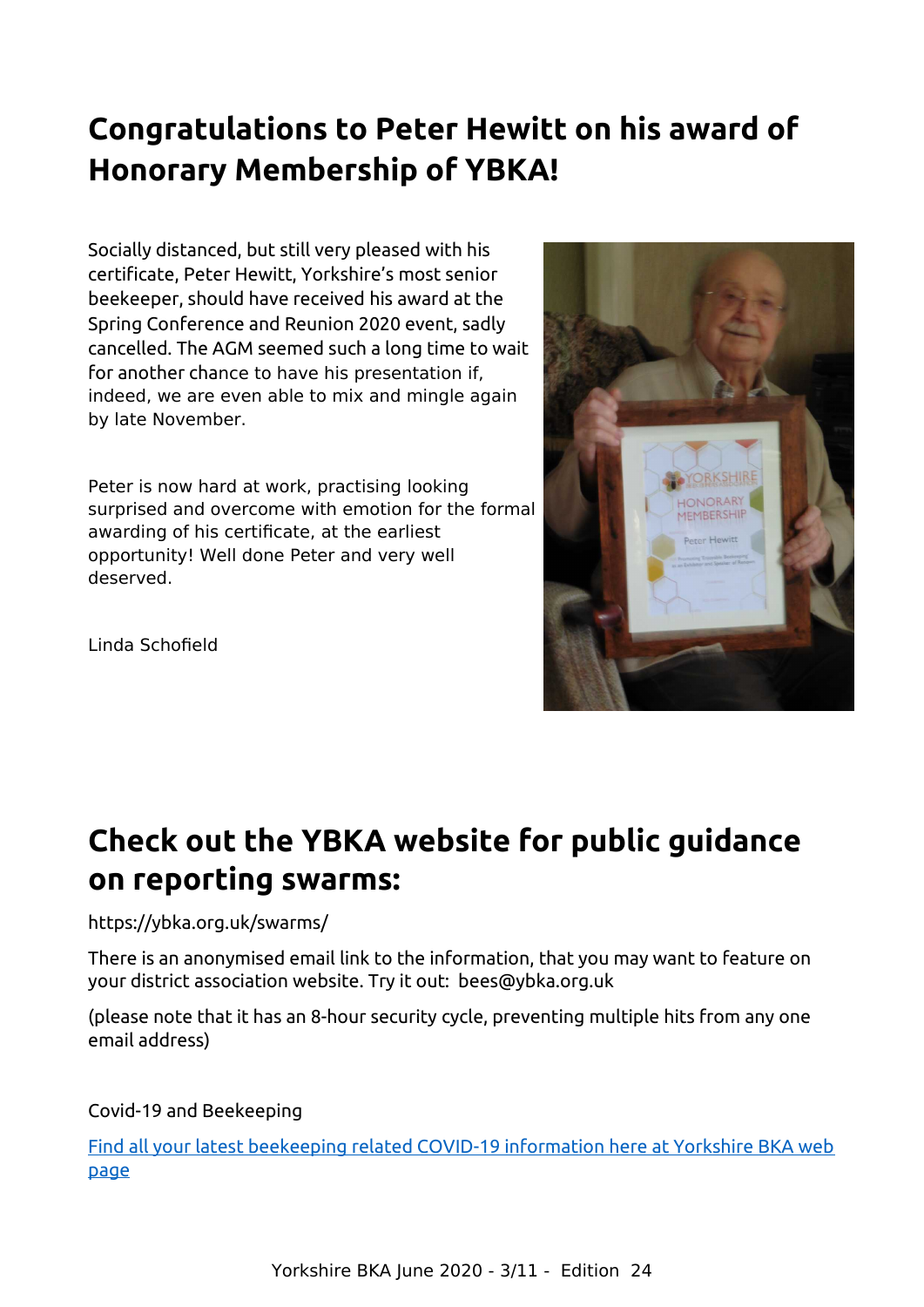## **Congratulations to Peter Hewitt on his award of Honorary Membership of YBKA!**

Socially distanced, but still very pleased with his certificate, Peter Hewitt, Yorkshire's most senior beekeeper, should have received his award at the Spring Conference and Reunion 2020 event, sadly cancelled. The AGM seemed such a long time to wait for another chance to have his presentation if, indeed, we are even able to mix and mingle again by late November.

Peter is now hard at work, practising looking surprised and overcome with emotion for the formal awarding of his certificate, at the earliest opportunity! Well done Peter and very well deserved.

<span id="page-2-2"></span>Linda Schofield

## **Check out the YBKA website for public guidance on reporting swarms:**

### https://ybka.org.uk/swarms/

There is an anonymised email link to the information, that you may want to feature on your district association website. Try it out: bees@ybka.org.uk

<span id="page-2-1"></span>(please note that it has an 8-hour security cycle, preventing multiple hits from any one email address)

### Covid-19 and Beekeeping

<span id="page-2-0"></span>[Find all your latest beekeeping related COVID-19 information here at Yorkshire BKA web](https://ybka.org.uk/ybka-and-covid-19/) [page](https://ybka.org.uk/ybka-and-covid-19/)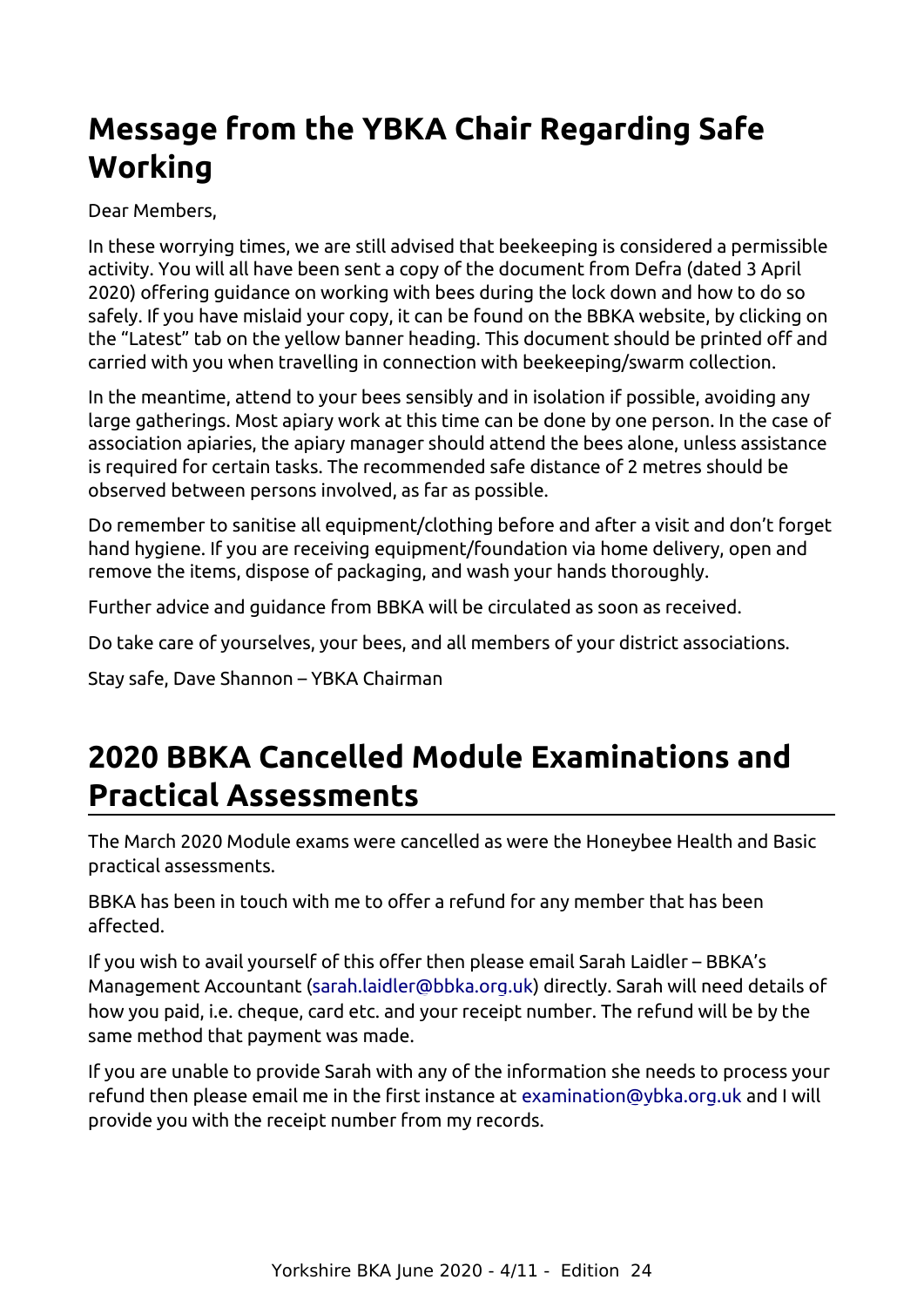## **Message from the YBKA Chair Regarding Safe Working**

Dear Members,

In these worrying times, we are still advised that beekeeping is considered a permissible activity. You will all have been sent a copy of the document from Defra (dated 3 April 2020) offering guidance on working with bees during the lock down and how to do so safely. If you have mislaid your copy, it can be found on the BBKA website, by clicking on the "Latest" tab on the yellow banner heading. This document should be printed off and carried with you when travelling in connection with beekeeping/swarm collection.

In the meantime, attend to your bees sensibly and in isolation if possible, avoiding any large gatherings. Most apiary work at this time can be done by one person. In the case of association apiaries, the apiary manager should attend the bees alone, unless assistance is required for certain tasks. The recommended safe distance of 2 metres should be observed between persons involved, as far as possible.

Do remember to sanitise all equipment/clothing before and after a visit and don't forget hand hygiene. If you are receiving equipment/foundation via home delivery, open and remove the items, dispose of packaging, and wash your hands thoroughly.

Further advice and guidance from BBKA will be circulated as soon as received.

Do take care of yourselves, your bees, and all members of your district associations.

Stay safe, Dave Shannon – YBKA Chairman

## <span id="page-3-0"></span>**2020 BBKA Cancelled Module Examinations and Practical Assessments**

The March 2020 Module exams were cancelled as were the Honeybee Health and Basic practical assessments.

BBKA has been in touch with me to offer a refund for any member that has been affected.

If you wish to avail yourself of this offer then please email Sarah Laidler – BBKA's Management Accountant [\(sarah.laidler@bbka.org.uk\)](mailto:sarah.laidler@bbka.org.uk) directly. Sarah will need details of how you paid, i.e. cheque, card etc. and your receipt number. The refund will be by the same method that payment was made.

If you are unable to provide Sarah with any of the information she needs to process your refund then please email me in the first instance at [examination@ybka.org.uk](mailto:examination@ybka.org.uk) and I will provide you with the receipt number from my records.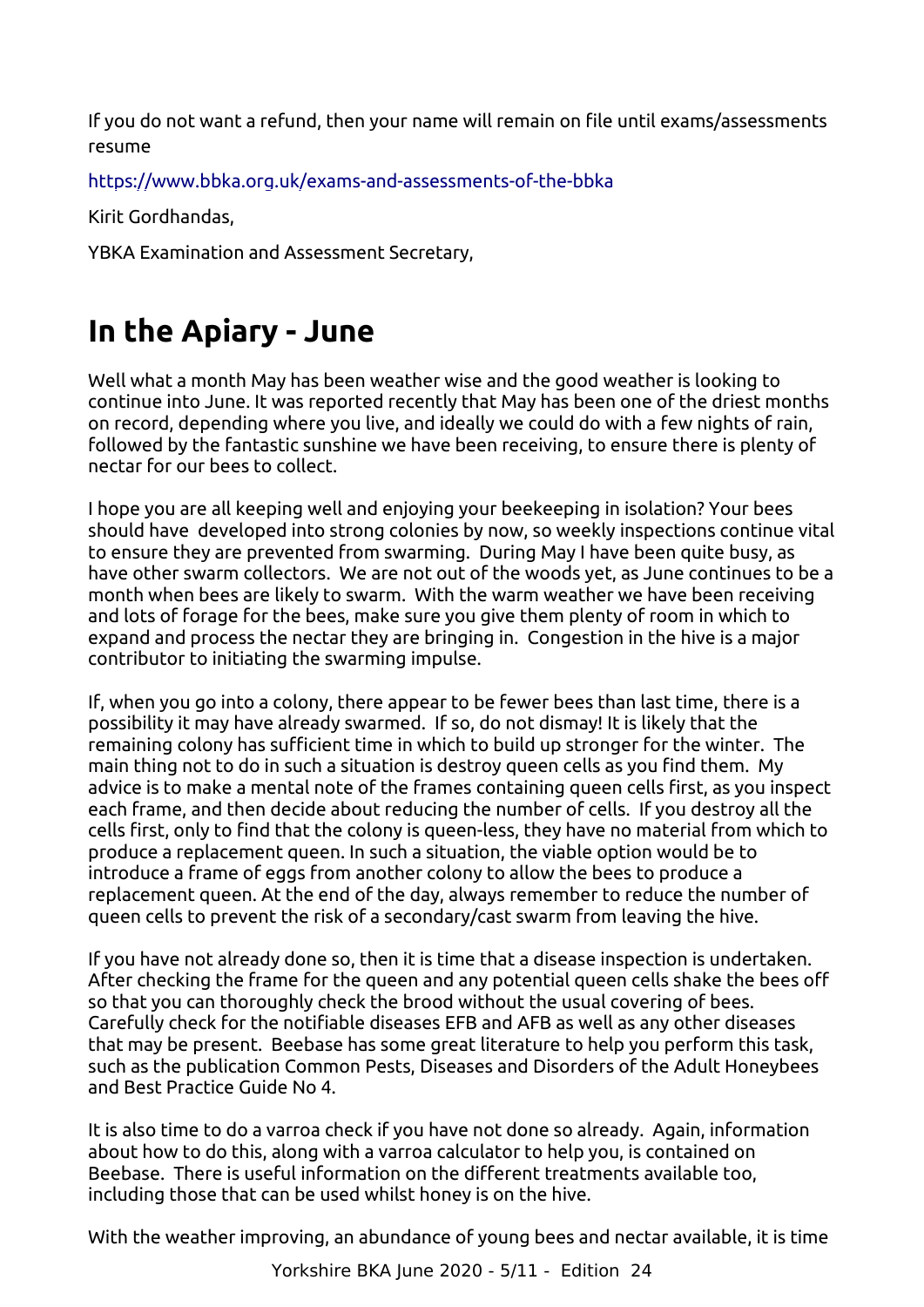If you do not want a refund, then your name will remain on file until exams/assessments resume

<https://www.bbka.org.uk/exams-and-assessments-of-the-bbka>

Kirit Gordhandas,

YBKA Examination and Assessment Secretary,

## **In the Apiary - June**

Well what a month May has been weather wise and the good weather is looking to continue into June. It was reported recently that May has been one of the driest months on record, depending where you live, and ideally we could do with a few nights of rain, followed by the fantastic sunshine we have been receiving, to ensure there is plenty of nectar for our bees to collect.

I hope you are all keeping well and enjoying your beekeeping in isolation? Your bees should have developed into strong colonies by now, so weekly inspections continue vital to ensure they are prevented from swarming. During May I have been quite busy, as have other swarm collectors. We are not out of the woods yet, as June continues to be a month when bees are likely to swarm. With the warm weather we have been receiving and lots of forage for the bees, make sure you give them plenty of room in which to expand and process the nectar they are bringing in. Congestion in the hive is a major contributor to initiating the swarming impulse.

<span id="page-4-0"></span>If, when you go into a colony, there appear to be fewer bees than last time, there is a possibility it may have already swarmed. If so, do not dismay! It is likely that the remaining colony has sufficient time in which to build up stronger for the winter. The main thing not to do in such a situation is destroy queen cells as you find them. My advice is to make a mental note of the frames containing queen cells first, as you inspect each frame, and then decide about reducing the number of cells. If you destroy all the cells first, only to find that the colony is queen-less, they have no material from which to produce a replacement queen. In such a situation, the viable option would be to introduce a frame of eggs from another colony to allow the bees to produce a replacement queen. At the end of the day, always remember to reduce the number of queen cells to prevent the risk of a secondary/cast swarm from leaving the hive.

If you have not already done so, then it is time that a disease inspection is undertaken. After checking the frame for the queen and any potential queen cells shake the bees off so that you can thoroughly check the brood without the usual covering of bees. Carefully check for the notifiable diseases EFB and AFB as well as any other diseases that may be present. Beebase has some great literature to help you perform this task, such as the publication Common Pests, Diseases and Disorders of the Adult Honeybees and Best Practice Guide No 4.

It is also time to do a varroa check if you have not done so already. Again, information about how to do this, along with a varroa calculator to help you, is contained on Beebase. There is useful information on the different treatments available too, including those that can be used whilst honey is on the hive.

With the weather improving, an abundance of young bees and nectar available, it is time

Yorkshire BKA June 2020 - 5/11 - Edition 24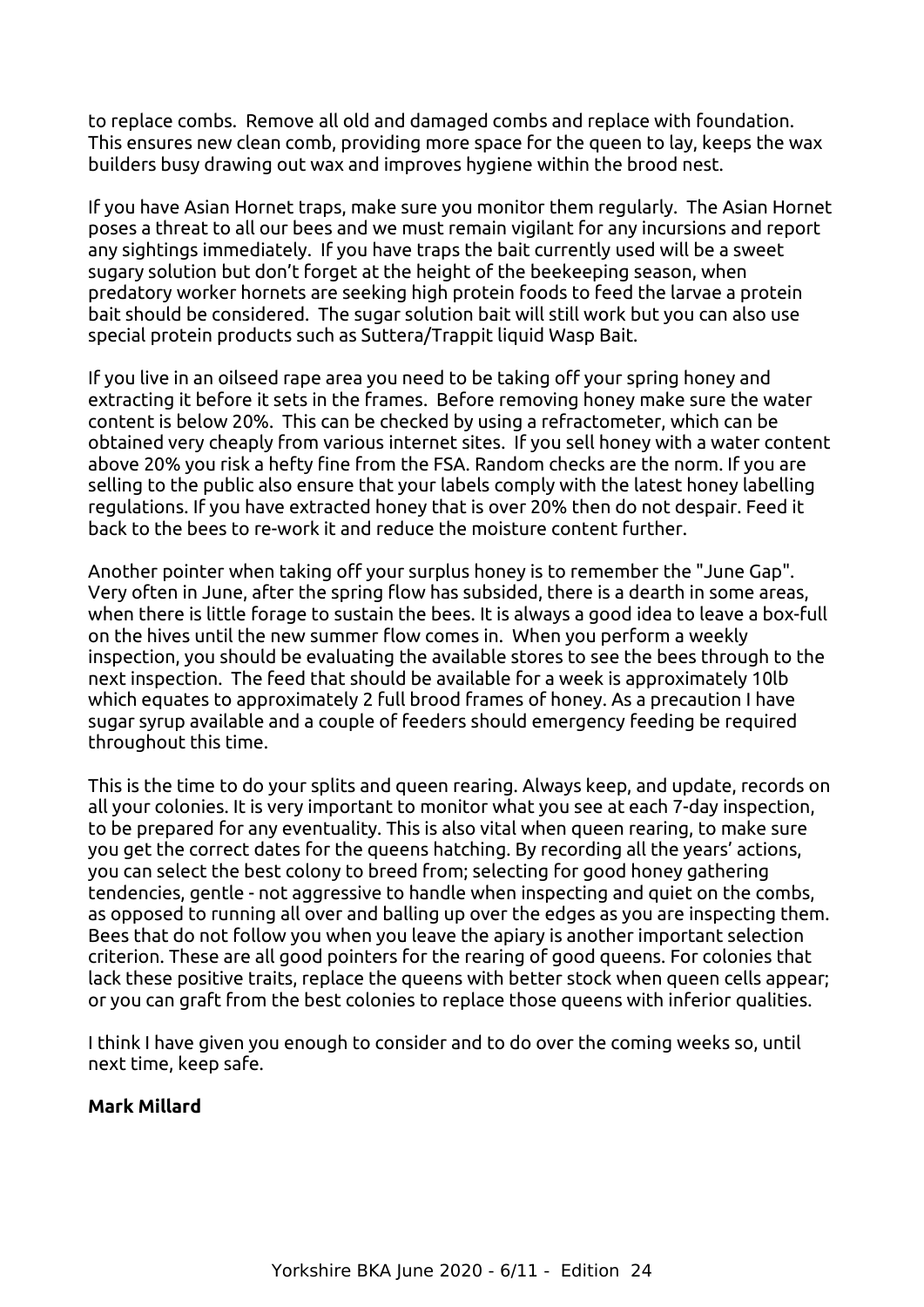to replace combs. Remove all old and damaged combs and replace with foundation. This ensures new clean comb, providing more space for the queen to lay, keeps the wax builders busy drawing out wax and improves hygiene within the brood nest.

If you have Asian Hornet traps, make sure you monitor them regularly. The Asian Hornet poses a threat to all our bees and we must remain vigilant for any incursions and report any sightings immediately. If you have traps the bait currently used will be a sweet sugary solution but don't forget at the height of the beekeeping season, when predatory worker hornets are seeking high protein foods to feed the larvae a protein bait should be considered. The sugar solution bait will still work but you can also use special protein products such as Suttera/Trappit liquid Wasp Bait.

If you live in an oilseed rape area you need to be taking off your spring honey and extracting it before it sets in the frames. Before removing honey make sure the water content is below 20%. This can be checked by using a refractometer, which can be obtained very cheaply from various internet sites. If you sell honey with a water content above 20% you risk a hefty fine from the FSA. Random checks are the norm. If you are selling to the public also ensure that your labels comply with the latest honey labelling regulations. If you have extracted honey that is over 20% then do not despair. Feed it back to the bees to re-work it and reduce the moisture content further.

Another pointer when taking off your surplus honey is to remember the "June Gap". Very often in June, after the spring flow has subsided, there is a dearth in some areas, when there is little forage to sustain the bees. It is always a good idea to leave a box-full on the hives until the new summer flow comes in. When you perform a weekly inspection, you should be evaluating the available stores to see the bees through to the next inspection. The feed that should be available for a week is approximately 10lb which equates to approximately 2 full brood frames of honey. As a precaution I have sugar syrup available and a couple of feeders should emergency feeding be required throughout this time.

This is the time to do your splits and queen rearing. Always keep, and update, records on all your colonies. It is very important to monitor what you see at each 7-day inspection, to be prepared for any eventuality. This is also vital when queen rearing, to make sure you get the correct dates for the queens hatching. By recording all the years' actions, you can select the best colony to breed from; selecting for good honey gathering tendencies, gentle - not aggressive to handle when inspecting and quiet on the combs, as opposed to running all over and balling up over the edges as you are inspecting them. Bees that do not follow you when you leave the apiary is another important selection criterion. These are all good pointers for the rearing of good queens. For colonies that lack these positive traits, replace the queens with better stock when queen cells appear; or you can graft from the best colonies to replace those queens with inferior qualities.

I think I have given you enough to consider and to do over the coming weeks so, until next time, keep safe.

### **Mark Millard**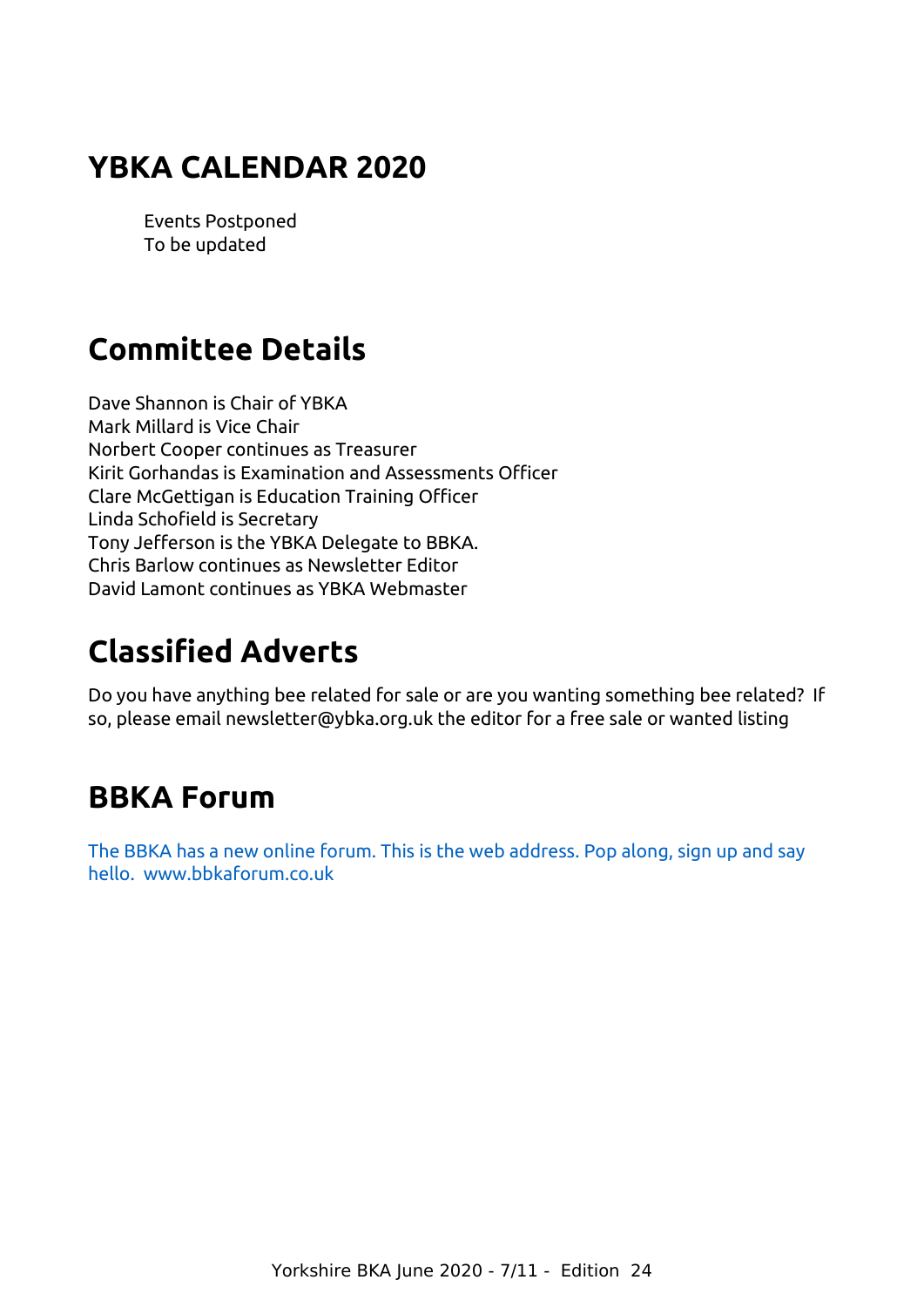### <span id="page-6-2"></span>**YBKA CALENDAR 2020**

Events Postponed To be updated

## **Committee Details**

Dave Shannon is Chair of YBKA Mark Millard is Vice Chair Norbert Cooper continues as Treasurer Kirit Gorhandas is Examination and Assessments Officer Clare McGettigan is Education Training Officer Linda Schofield is Secretary Tony Jefferson is the YBKA Delegate to BBKA. Chris Barlow continues as Newsletter Editor David Lamont continues as YBKA Webmaster

## <span id="page-6-1"></span>**Classified Adverts**

<span id="page-6-0"></span>Do you have anything bee related for sale or are you wanting something bee related? If so, please email newsletter@ybka.org.uk the editor for a free sale or wanted listing

## **BBKA Forum**

[The BBKA has a new online forum. This is the web address. Pop along, sign up and say](http://www.bbkaforum.co.uk/)  [hello. www.bbkaforum.co.uk](http://www.bbkaforum.co.uk/)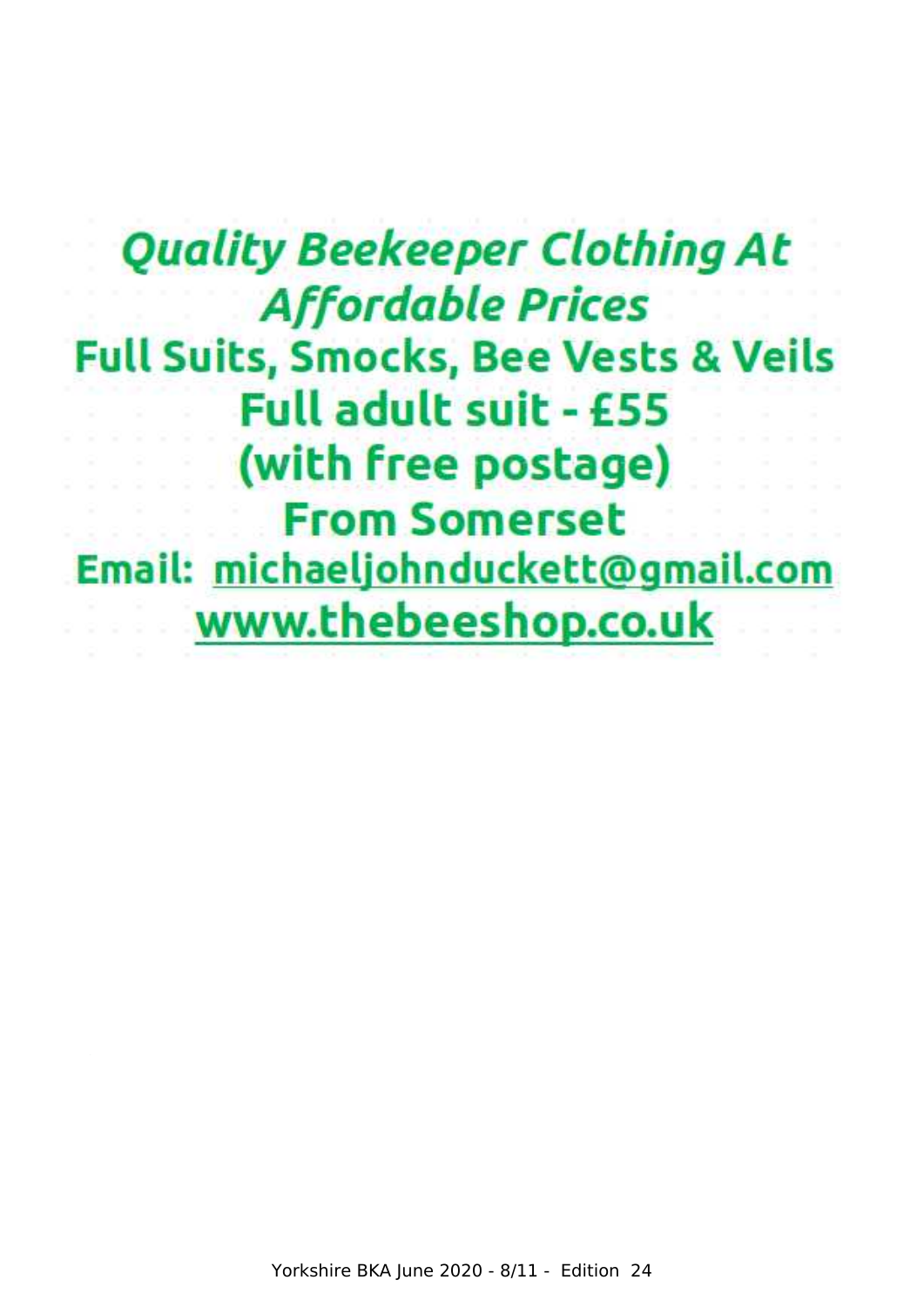## **Quality Beekeeper Clothing At Affordable Prices Full Suits, Smocks, Bee Vests & Veils Full adult suit - £55** (with free postage) **From Somerset** Email: michaeljohnduckett@gmail.com www.thebeeshop.co.uk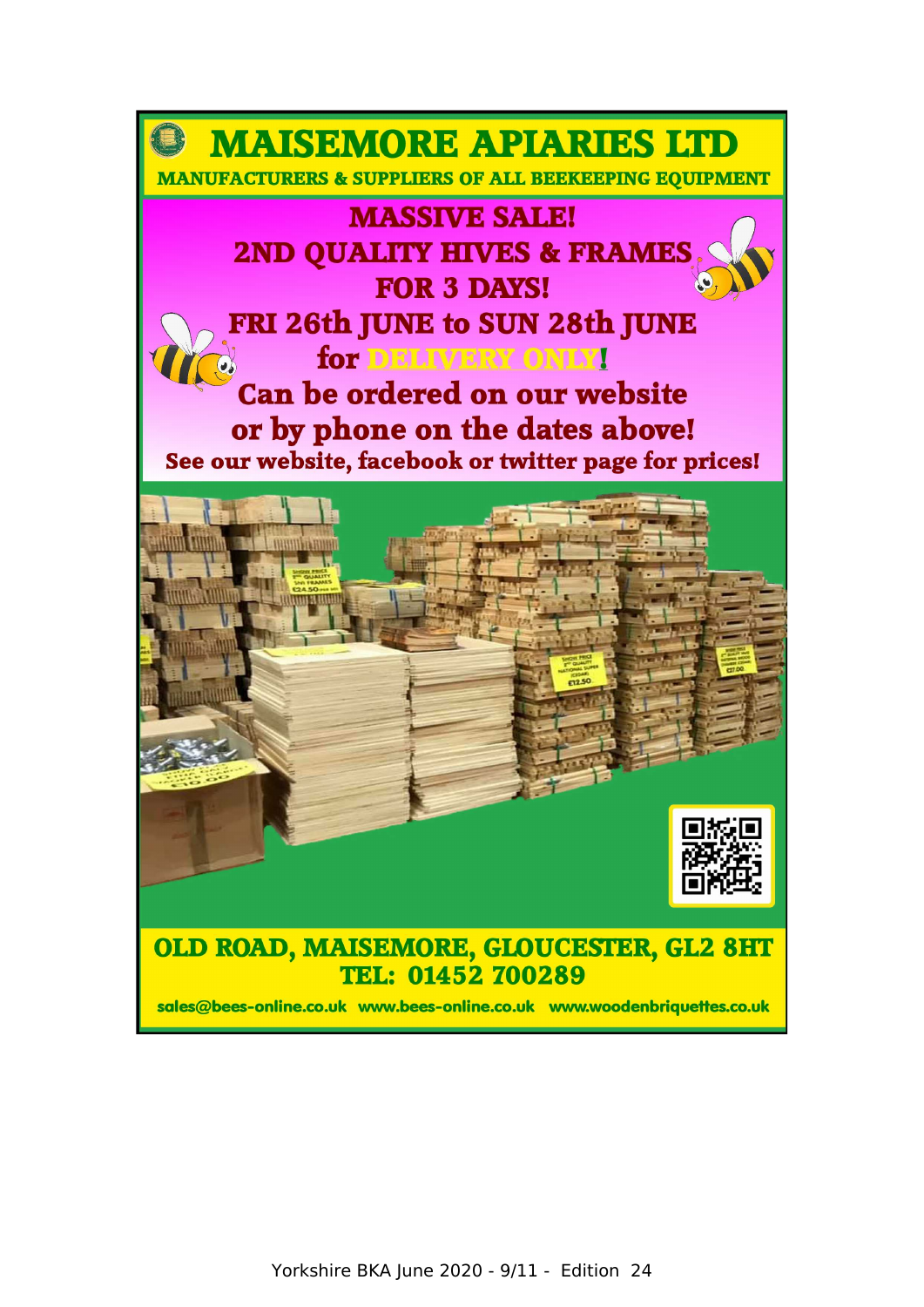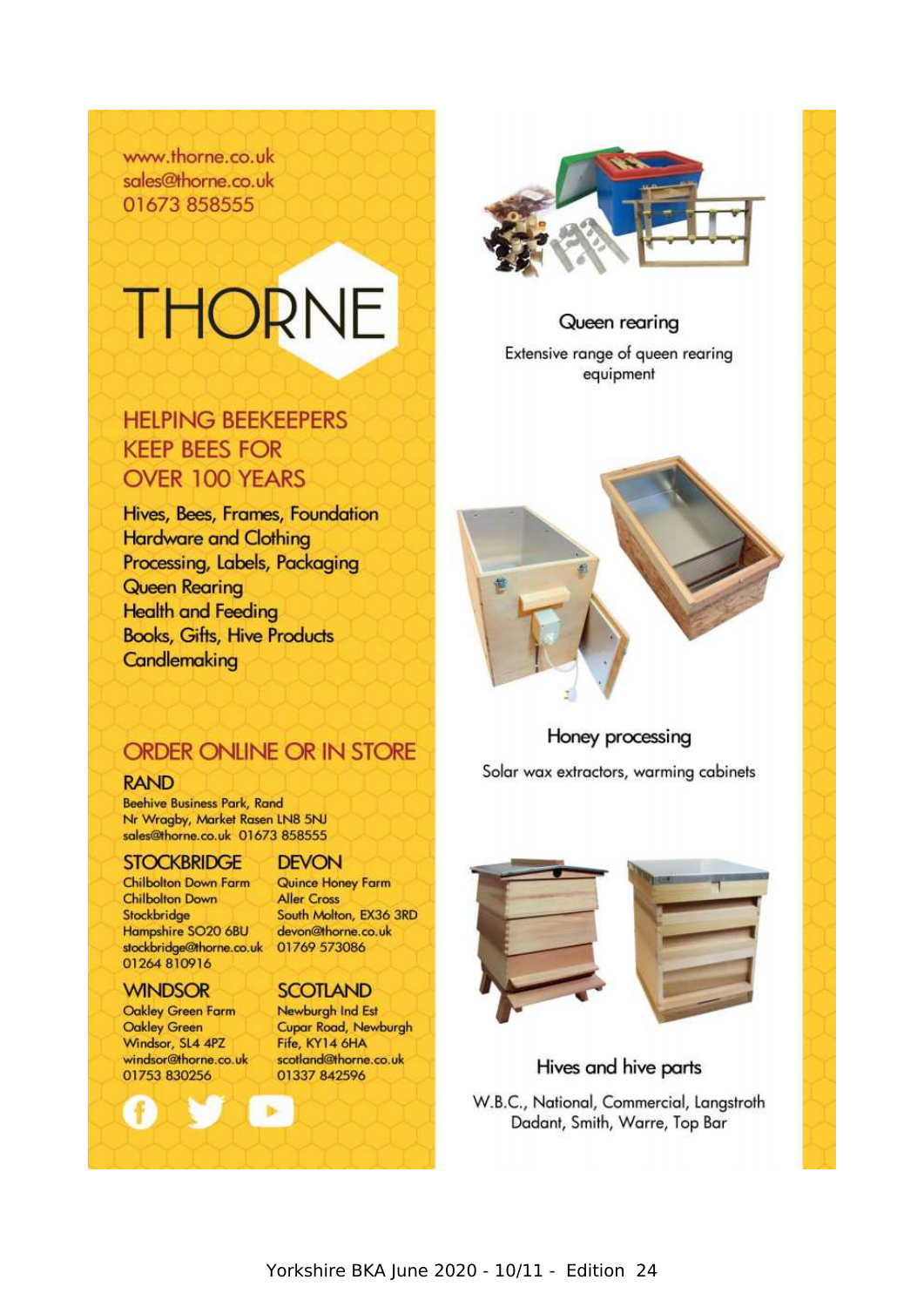www.thorne.co.uk sales@thorne.co.uk 01673 858555

# **THORNE**

### **HELPING BEEKEEPERS KEEP BEES FOR OVER 100 YEARS**

Hives, Bees, Frames, Foundation **Hardware and Clothing** Processing, Labels, Packaging **Queen Rearing Health and Feeding Books, Gifts, Hive Products** Candlemaking



### Queen rearing

Extensive range of queen rearing equipment



Honey processing

Solar wax extractors, warming cabinets

### **ORDER ONLINE OR IN STORE**

### **RAND**

**Beehive Business Park, Rand** Nr Wragby, Market Rasen LN8 5NJ sales@thorne.co.uk 01673 858555

### **STOCKBRIDGE**

**Chilbolton Down Farm Chilbolton Down** Stockbridge Hampshire SO20 6BU stockbridge@thorne.co.uk 01769 573086 01264 810916

### **WINDSOR**

Oakley Green Farm **Oakley Green** Windsor, SL4 4PZ windsor@thorne.co.uk 01753 830256

### **DEVON**

Quince Honey Farm **Aller Cross** South Molton, EX36 3RD devon@thorne.co.uk

### **SCOTLAND**

Newburgh Ind Est Cupar Road, Newburgh Fife, KY14 6HA scotland@thorne.co.uk 01337 842596



### Hives and hive parts

W.B.C., National, Commercial, Langstroth Dadant, Smith, Warre, Top Bar